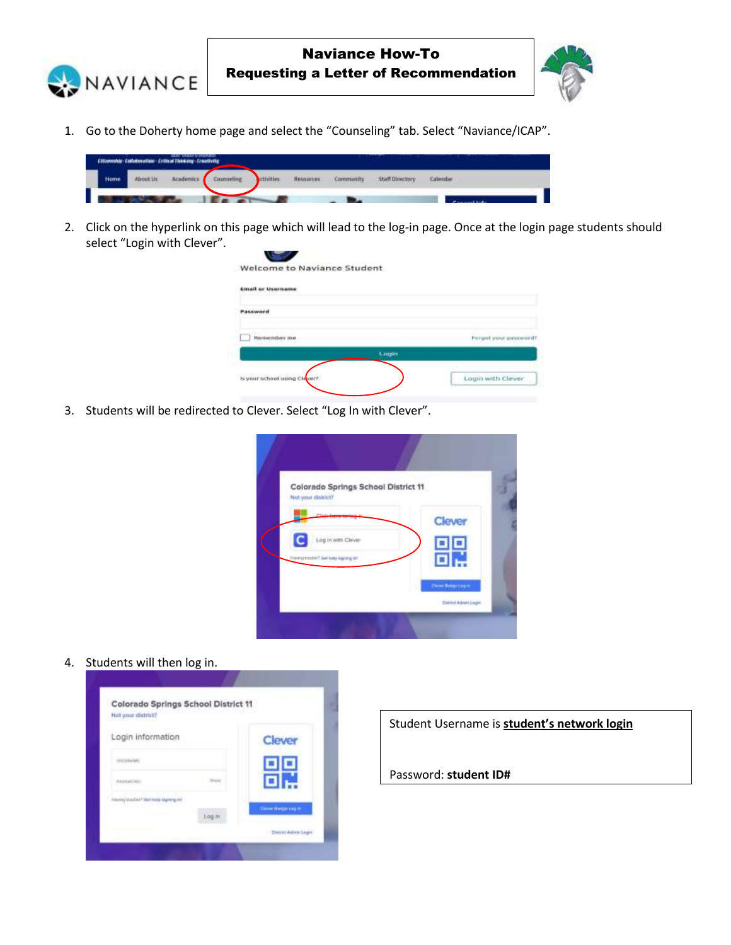



1. Go to the Doherty home page and select the "Counseling" tab. Select "Naviance/ICAP".



2. Click on the hyperlink on this page which will lead to the log-in page. Once at the login page students should select "Login with Clever".

| <b>Email or Username</b>     |                               |
|------------------------------|-------------------------------|
| <b>AKKWOOD</b>               |                               |
| Restauralies me              | <b>Internet were provided</b> |
|                              | Login                         |
| is your school using Clever? | Login with Clever             |

3. Students will be redirected to Clever. Select "Log In with Clever".

| Not your district?             | Colorado Springs School District 11 |                 |   |
|--------------------------------|-------------------------------------|-----------------|---|
| <b>Philadelphia</b>            |                                     | Clever          |   |
|                                | Log in with Clever                  | $\blacksquare$  | Ξ |
| <b>Herotothic Group rangel</b> |                                     |                 |   |
|                                |                                     | Committee Learn |   |

4. Students will then log in.

| Not your district?<br>wa ma                                       |        |                          |
|-------------------------------------------------------------------|--------|--------------------------|
| Login information                                                 |        | Clever                   |
| LEGISLAGE.                                                        |        |                          |
| <b>PULLE GETTINES</b>                                             |        |                          |
| hasmag straubid !! Wart mode adgreeig inti<br>this ready and does |        | <b>Close Benzinka in</b> |
|                                                                   | Log.in |                          |

Student Username is **student's network login**

Password: **student ID#**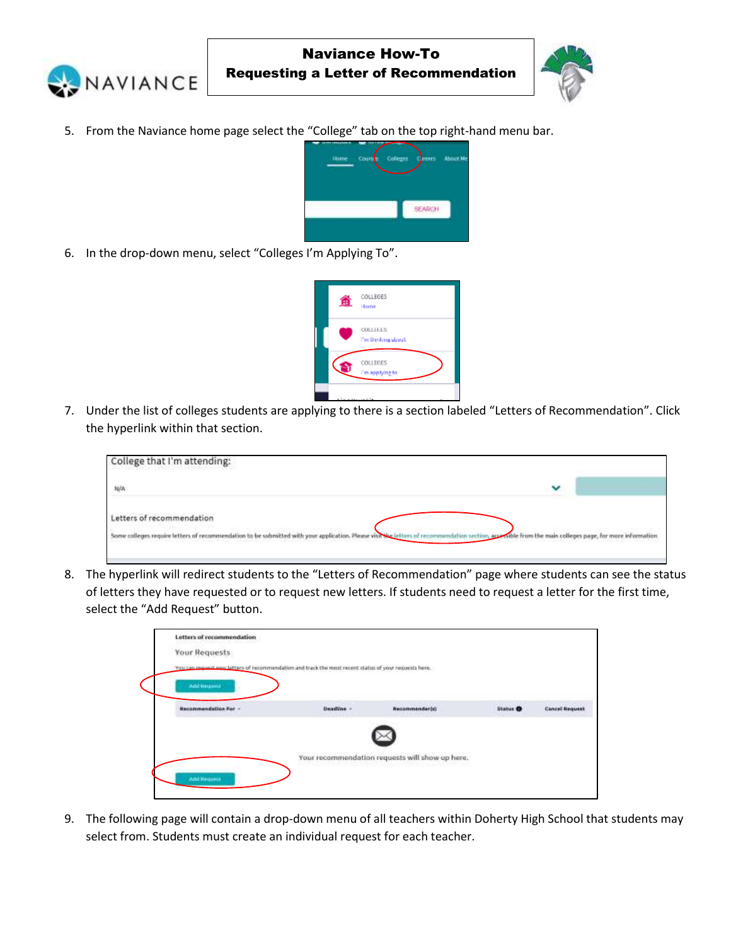



5. From the Naviance home page select the "College" tab on the top right-hand menu bar.



6. In the drop-down menu, select "Colleges I'm Applying To".



7. Under the list of colleges students are applying to there is a section labeled "Letters of Recommendation". Click the hyperlink within that section.

| College that I'm attending:                                                                           |   |                                                          |
|-------------------------------------------------------------------------------------------------------|---|----------------------------------------------------------|
| N/A                                                                                                   | v |                                                          |
| Letters of recommendation                                                                             |   |                                                          |
| Some colleges require letters of recommendation to be submitted with your application. Please visit's |   | wible from the main colleges page, for more information. |

8. The hyperlink will redirect students to the "Letters of Recommendation" page where students can see the status of letters they have requested or to request new letters. If students need to request a letter for the first time, select the "Add Request" button.

| Letters of recommendation<br>2001년까지 2월 10월 2일                                                        |                   |                                                 |                                   |                       |
|-------------------------------------------------------------------------------------------------------|-------------------|-------------------------------------------------|-----------------------------------|-----------------------|
| Your Requests                                                                                         |                   |                                                 |                                   |                       |
| You can request new latters of recommendation and track the most recent status of your requests here. |                   |                                                 |                                   |                       |
| Add limitset                                                                                          |                   |                                                 |                                   |                       |
| <b>Hecommendation For</b>                                                                             | <b>Deadline -</b> | Recommendarist                                  | mark model<br>Status <sup>O</sup> | <b>Cancel Request</b> |
| the company's the company's                                                                           | AN DISAGRITI      |                                                 |                                   |                       |
|                                                                                                       |                   |                                                 |                                   |                       |
|                                                                                                       |                   |                                                 |                                   |                       |
|                                                                                                       |                   | Your recommendation requests will show up here. |                                   |                       |
|                                                                                                       |                   |                                                 |                                   |                       |

9. The following page will contain a drop-down menu of all teachers within Doherty High School that students may select from. Students must create an individual request for each teacher.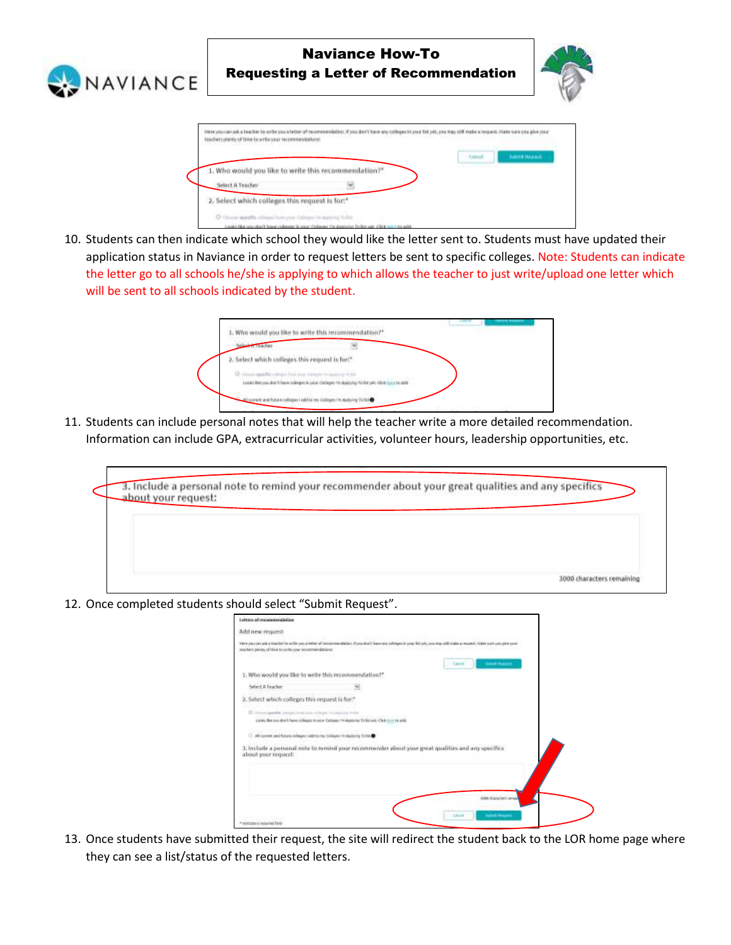

10. Students can then indicate which school they would like the letter sent to. Students must have updated their application status in Naviance in order to request letters be sent to specific colleges. Note: Students can indicate the letter go to all schools he/she is applying to which allows the teacher to just write/upload one letter which will be sent to all schools indicated by the student.

| 1. Who would you like to write this recommendation?" |                                                                                                |  |
|------------------------------------------------------|------------------------------------------------------------------------------------------------|--|
|                                                      |                                                                                                |  |
| 2. Select which colleges this request is for!"       |                                                                                                |  |
| from another chance business contacts to Automobile  |                                                                                                |  |
|                                                      | Loads like you don't have policy as loying chileges his Analytic Airbal yet, this best to wid- |  |
|                                                      | and Associations I add to my Colleges I'm Austump                                              |  |

11. Students can include personal notes that will help the teacher write a more detailed recommendation. Information can include GPA, extracurricular activities, volunteer hours, leadership opportunities, etc.

| about your request: |  | 3. Include a personal note to remind your recommender about your great qualities and any specifics |                           |
|---------------------|--|----------------------------------------------------------------------------------------------------|---------------------------|
|                     |  |                                                                                                    |                           |
|                     |  |                                                                                                    |                           |
|                     |  |                                                                                                    | 3000 characters remaining |

12. Once completed students should select "Submit Request".

D.O.

| Letters af reconservateling                                             |                                                                                                                                                                                       |
|-------------------------------------------------------------------------|---------------------------------------------------------------------------------------------------------------------------------------------------------------------------------------|
| Add new request                                                         |                                                                                                                                                                                       |
| Analysis pieces of three to entire your recommendations:                | views pays are and at traded the well to you a feltion of testamourshallor). If you don't have any calleges in your full and you must this minim a request. Alabie sure you give your |
|                                                                         | <b>School Avenue</b><br><b>Camera</b>                                                                                                                                                 |
| 1. Who would you like to write this recommendation?"                    |                                                                                                                                                                                       |
| Select A Teacher                                                        |                                                                                                                                                                                       |
| 2. Select which colleges this request is for."                          |                                                                                                                                                                                       |
| 23. New regarding percept (Auto Long-United Wallace of the              | Looks We look don't have colleged to your Company Incidenting To Bellevill, Click to you be with                                                                                      |
| U All corrent and fobby coneges taking the Calleger th Applying Torbook |                                                                                                                                                                                       |
| about your nequest:                                                     | 3. Include a personal note to remind your recommender about your great qualities and any specifics                                                                                    |
|                                                                         |                                                                                                                                                                                       |
|                                                                         | 1000 Guidelint when                                                                                                                                                                   |
|                                                                         |                                                                                                                                                                                       |
| * Indicates it natured East                                             | <b><i><u>School Security</u></i></b><br>$1.3 -$                                                                                                                                       |

13. Once students have submitted their request, the site will redirect the student back to the LOR home page where they can see a list/status of the requested letters.